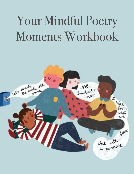# Your Mindful Poetry Moments Workbook

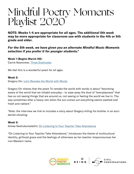### Mindful Poetry Moments Playlist 2020

**NOTE: Weeks 1-4 are appropriate for all ages. The additional 5th week may be more appropriate for classroom use with students in the 4th or 5th grade and older.** 

#### *For the 5th week, we have given you an alternate Mindful Music Moments selection if you prefer it for younger students.\**

#### **Week 1 (Begins March 30):**

Carrie Newcomer, [Three Gratitudes](https://onbeing.org/poetry/three-gratitudes/)

We feel this is a wonderful poem for all ages.

#### **Week 2:**

Gregory Orr, [Let's Remake the World with Words](https://onbeing.org/poetry/lets-remake-the-world-with-words/)

Gregory Orr shares that the poem To remake the world with words is about "becoming aware of the world that we inhabit everyday-- to wipe away the dust of "everydayness" that has us not seeing things that are around us, not seeing or feeling the world we live in. The way sometimes after a heavy rain when the sun comes out everything seems washed and fresh and radiant."

*\*Note: the interview we link to includes a story about Gregory killing his brother in an accidental shooting.* 

#### **Week 3:**

Aimee Nezhukumatathil, [On Listening to Your Teacher Take Attendance](https://onbeing.org/programs/a-poem-about-what-grounds-you/#transcript)

"On Listening to Your Teacher Take Attendance," introduces the theme of multicultural identity, girlhood grace and the feelings of otherness as her teacher mispronounces her non-Western name.

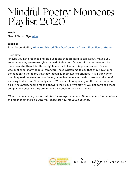### Mindful Poetry Moments Playlist 2020

#### **Week 4:**

Naomi Shihab Nye, [Alive](https://onbeing.org/poetry/alive/)

#### **Week 5:**

Brad Aaron Modlin, [What You Missed That Day You Were Absent From Fourth Grade](https://onbeing.org/poetry/what-you-missed-that-day-you-were-absent-from-fourth-grade/)

#### From Brad –

"Maybe you have feelings and big questions that are hard to talk about. Maybe you sometimes stay awake worrying instead of sleeping. Or you think your life could be more peaceful than it is. Those nights are part of what this poem is about. Since it was published, many people—strangers—have written me to say that they have found connection to the poem, that they recognize their own experiences in it. I think when the big questions seem too confusing, or we feel lonely in the dark, we can take comfort knowing that we aren't actually alone. We are kept company by all the people who are also lying awake, hoping for the answers that may arrive slowly. We just can't see these companions because they are in their own beds in their own homes."

*\*Note: This poem may not be suitable for younger listeners. There is a line that mentions the teacher smoking a cigarette. Please preview for your audience.* 

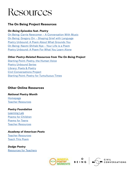### Resources

#### **The On Being Project Resources**

#### *On Being Episodes feat. Poetry*

On Being: [Carrie Newcomer – A Conversation With Music](https://onbeing.org/programs/carrie-newcomer-a-conversation-with-music/) [On Being: Gregory Orr – Shaping Grief with Language](https://onbeing.org/programs/gregory-orr-shaping-grief-with-language/) [Poetry Unbound: A Poem About What Grounds You](https://onbeing.org/programs/a-poem-about-what-grounds-you/#transcript) [On Being: Naomi Shihab Nye – Your Life is a Poem](https://onbeing.org/programs/naomi-shihab-nye-your-life-is-a-poem-mar2018/) [Poetry Unbound: A Poem For What You Learn Alone](https://onbeing.org/programs/a-poem-for-what-you-learn-alone/)

#### *Other Poetry-Related Resources from The On Being Project*

[Starting Point: Poetry, the Human Voice](https://onbeing.org/starting-points/poetry-the-human-voice/) [Poetry Unbound Series](https://onbeing.org/series/poetry-unbound/) [Library: Poets & Poetry](https://onbeing.org/libraries/poets-poetry/) [Civil Conversations Project](https://onbeing.org/civil-conversations-project/) [Starting Point: Poetry for Tumultuous Times](https://onbeing.org/starting-points/poetry-for-tumultuous-times/)

#### **Other Online Resources**

*National Poetry Month*  [Homepage](https://www.poets.org/national-poetry-month/home) [Teacher Resources](https://www.edutopia.org/blog/national-poetry-month-teacher-resources-matt-davis)

#### *Poetry Foundation*

[Learning Lab](https://www.poetryfoundation.org/learn) [Poems for Children](https://www.poetryfoundation.org/poems/browse#page=1&sort_by=recently_added&filter_poetry_children=1) [Poems for Teens](https://www.poetryfoundation.org/learn/teens) [Teacher Resources](https://www.poetryfoundation.org/learn/resources#teacher)

*Academy of American Poets* [Teacher Resources](https://www.poets.org/poetsorg/materials-teachers) [Teach This Poem](https://poets.org/teach-poem)

*Dodge Poetry* [Resources for Teachers](http://www.dodgepoetry.org/about-us/poetry-resources-for-teachers/)



BEING



CIVIL<br>CONVERSATIONS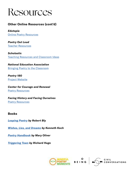

#### **Other Online Resources (cont'd)**

*Edutopia* [Online Poetry Resources](https://www.edutopia.org/blog/online-poetry-resources-monica-burns
)

*Poetry Out Loud* [Teacher Resources](https://www.poetryoutloud.org/teaching-resources/)

*Scholastic* [Teaching Resources and Classroom Ideas](https://www.scholastic.com/teachers/collections/teaching-content/poetry/)

*National Education Association* [Bringing Poetry to the Classroom](http://www.nea.org/tools/lessons/bringing-poetry-to-the-classroom-grades-K-5.html)

*Poetry 180*  [Project Website](https://www.loc.gov/poetry/180/p180-more.html)

*Center for Courage and Renewal* [Poetry Resources](http://www.couragerenewal.org/poetryresources/)

*Facing History and Facing Ourselves* [Poetry Resources](https://www.facinghistory.org/resource-library?search=poetry)

#### **Books**

*[Leaping Poetry](https://www.harpercollins.com/9780060955090/wishes-lies-and-dreams/) by Robert Bly*

*[Wishes, Lies, and Dreams](https://www.harpercollins.com/9780060955090/wishes-lies-and-dreams/) by Kenneth Koch*

*[Poetry Handbook](https://www.hmhbooks.com/shop/books/A-Poetry-Handbook/9780156724005) by Mary Oliver*

*[Triggering Town](https://books.wwnorton.com/books/978-0-393-33872-0/) by Richard Hugo*







CIVIL<br>CONVERSATIONS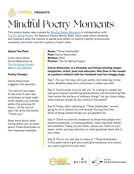

This poetry lesson was created by **[Mindful Music Moments](https://www.thewell.world/mindful-music/become-a-mindful-music-moments-school-partner)** in collaboration with [The On Being Project](https://onbeing.org) for National Poetry Month 2020. Each week offers students and teachers alike the chance to pause and reflect on poetry's ability to encounter ourselves, the world, and the mystery of each other.

#### **About The Poet:**

Learn more about Carrie Newcomer at [The On Being Project](https://onbeing.org)  and [on her website](https://www.carrienewcomer.com/about).

#### **Poetry Prompt:**

Carrie Newcomer suggests this exercise:

"Try this for one week. At the end of each day write down at least eight small details you noticed within the previous 24 hours. At the end of each list write the words "Thank you."

Read more about what Carrie wants you to know about Three Gratitudes on this response template.

**Poem:** "Three Gratitudes" **Poet:** Carrie Newcomer **Written:** 2013 **Partner:** The On Being Project

#### **Carrie Newcomer is a Grammy and Emmy-winning singersongwriter, artist, poet and educator. She lives in the woods of southern Indiana with her husband and two shaggy dogs.**

Day 1: For our first day, let's just settle into listening to this poem. Breathe deep and notice how it makes you feel.

Day 2: Carrie wrote to us to tell you "In a song or a poem we can point toward something extraordinary and shimmering that lives below the surface of ordinary things." As you listen today, what ordinary things do you notice in the poem?

Day 3: Today, after listening to "Three Gratitudes," we are going to sit in silence for one minute. During this time, think of three simple things you are grateful for.

Day 4: There is scientific evidence to show that people who practice gratitude, or feeling grateful, have improved health and wellness. Today, as you listen, place your hand on your heart, smile, and pay attention to what gratitude feels like in your body.

Day 5: This is our last day to listen to "Three Gratitudes." If this poem were a gift you could give someone, who would you want to give it to and why?



BEING

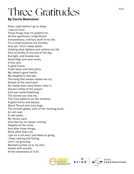## Three Gratitudes

#### **By Carrie Newcomer**

Every night before I go to sleep I say out loud Three things that I'm grateful for, All the significant, insignificant Extraordinary, ordinary stuff of my life. It's a small practice and humble, And yet, I find I sleep better Holding what lightens and softens my life Ever so briefly at the end of the day. Sunlight, and blueberries, Good dogs and wool socks, A fine rain, A good friend, Fresh basic and wild phlox, My father's good health, My daughter's new job, The song that always makes me cry, Always at the same part, No matter how many times I hear it. Decent coffee at the airport, And your quiet breathing, The stories you told me, The frost patterns on the windows, English horns and banjos, Wood Thrush and June bugs, The smooth glassy calm of the morning pond, An old coat, A new poem, My library card, And that my car keeps running Despite all the miles. And after three things, More often than not, I get on a roll and I just keep on going, I keep naming and listing, Until I lie grinning, Blankets pulled up to my chin, Awash with wonder At the sweetness of it all.



BEING

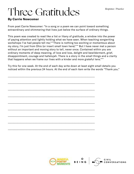## **Three Gratitudes**

#### **By Carrie Newcomer**

From poet Carrie Newcomer: "In a song or a poem we can point toward something extraordinary and shimmering that lives just below the surface of ordinary things.

This poem was created to read like a list or litany of gratitude, a window into the power of paying attention and lightly holding what we have seen. When teaching songwriting workshops I've had people tell me, "There is nothing too exciting or momentous about my story, I'm just from Ohio (or insert small town here)."'" But I have never met a person without an important and moving story to tell, never once. Contained within you are ordinary moments of deep meaning, of love and loss, delight and bewilderment, grief, disappointment, courage and hallelujah. There is a story in the small things and a clarity that happens when we frame our lives with a kinder and more grateful lens."'"

Try this for one week. At the end of each day write down at least eight small details you noticed within the previous 24 hours. At the end of each item write the words "Thank you."

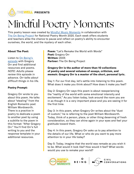

This poetry lesson was created by **[Mindful Music Moments](https://www.thewell.world/mindful-music/become-a-mindful-music-moments-school-partner)** in collaboration with [The On Being Project](https://onbeing.org) for National Poetry Month 2020. Each week offers students and teachers alike the chance to pause and reflect on poetry's ability to encounter ourselves, the world, and the mystery of each other.

#### **About The Poet:**

Listen to [On Being's](https://onbeing.org/programs/gregory-orr-shaping-grief-with-language/)  [episode](https://onbeing.org/programs/gregory-orr-shaping-grief-with-language/) with Gregory Orr and find additional resources and poems. *NOTE: Adults please review this episode in advance. Orr talks about difficult things in his life.*

#### **Poetry Prompt:**

Gregory Orr wrote to you about this poem. He talks about "stealing" from the English Romantic poet William Wordsworth. There is a practice in poetry to dedicate a poem to another poet by using a subtitle to the poem in this format: "After Gregory Orr." You'll find Orr's full writing to you and the response template in your additional resources.

**Poem:** "Let's Remake the World with Words" **Poet:** Gregory Orr **Written:** 2005 **Partner:** The On Being Project

#### **Gregory Orr is the author of more than 10 collections of poetry and several volumes of essays, criticism, and memoir. Gregory Orr is a master of the short, personal lyric.**

Day 1: For our first day, let's settle into listening to this poem. What does it make you think about? How does it make you feel?

Day 2: Gregory Orr says this poem is about reexperiencing the "reality of the world with some emotional intensity and excitement." As you listen today, look around the room you are in as though it is a very important place and you are seeing it for the first time.

Day 3: In this poem, when Gregory Orr writes about the "dust of custom," he is referring to the poet William Wordsworth. Today, think of a person, place, or other thing deserving of fresh consideration, so they can shine again in your eyes and feel your gratitude toward them.

Day 4: In this poem, Gregory Orr asks us to pay attention to the details of our life. What or who do you want to pay more attention to in your life today?

Day 5: Today, imagine that the world was remade as you wish it to be. What would it look like? How would it feel? What words would you use to remake your world?



**BEING** 

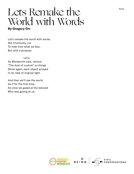### **By Gregory Orr** Lets Remake the World with Words

Let's remake the world with words. Not frivolously, nor To hide from what we fear, But with a purpose.

 Let's, As Wordworth said, remove "The dust of custom" so things Shine again, each object arrayed In its robe of original light.

And then we'll see the world As if for the first time, As once we gazed at the beloved Who was gazing at us.





CIVIL<br>CONVERSATIONS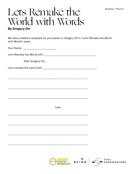### Lets Remake the World with Words **By Gregory Orr**

We have created a template for you based on Gregory Orr's "Let's Remake the World with Words" poem.

After Gregory Orr.

Lets.





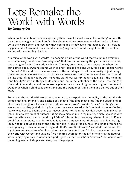### Lets Remake the World with Words **By Gregory Orr**

When poets talk about poems (especially their own) it almost always has nothing to do with how the poems got written. I don't think about what my poem means when I write it, I just write the words down and see how they sound and if they seem interesting. BUT if I look at my poem later (now) and think about what's going on in it, what it might be after, then I can end up with something like this:

"To remake the world with words"—to become aware of the world that we inhabit everyday -- to wipe away the dust of "everydayness" that has us not seeing things that are around us, not seeing or feeling the world we live in. The way sometimes after a heavy rain when the sun comes out everything seems washed and fresh and radiant. And, for a poet, to use words to "remake" the world—to make us aware of the world again in all its intensity of just being there: so that somehow words that notice and name and describe the world we live in could be like that rain followed by sun: make the world (our world) radiant again, as if the meaning (and beauty?) that's in things could shine out—or, in the metaphor of the poem—the things of the world (our world) could be dressed again in their robes of light—their original dazzle and wonder as when a child sees something and the wonder of it fills them and shines out of their face.

To remake the world (with words) means to me to re-experience the reality of the world with some emotional intensity and excitement. Most of the time most of us (me included) kind of sleepwalk through our lives and the world we walk through. We don't "see" the things that are around us, they just kind of glide by (or they are covered with "the dust of custom"—that is, we're so used to seeing them, so "accustomed" to them that we don't see them anymore) (plus I like to say "dust of custom"—it makes a nice sound in my mouth, which I guess is why Wordsworth came up with it and why I "stole" it from his prose essay where I found it. Poets steal from other poets in order to keep ideas and phrases alive—Wordsworth's idea, his big idea, was to look at and enjoy the natural world—trees, streams, hills—the kinds of things he loved playing in as a kid in rural England—that's how Wordsworth "invented" nature and the joys/pleasures/wonders of childhood for us—he "invented them" in his poems—he "remade the world with words" and gave us (two hundred years later) the gift of enjoying the natural world, enjoying a walk in woods or a park—gave us the "rebirth" or "renewal" that comes with becoming aware of simple and everyday things again.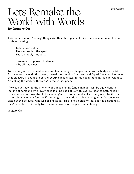### Lets Remake the World with Words **By Gregory Orr**

This poem is about "seeing" things. Another short poem of mine that's similar in implication is about hearing:

 To be alive! Not just The carcass but the spark. That's crudely put, but…

 If we're not supposed to dance Why all this music?

To be vitally alive, we need to see and hear clearly—with eyes, ears, words, body and spirit. So it seems to me. (in this poem, I loved the sound of "carcass" and "spark" near each other that pleasure in sounds is part of poetry's meanings). In this poem "dancing" is equivalent to "remaking the world with words" in the earlier poem.

If we can get back to the intensity of things shining (and singing) it will be equivalent to looking at someone with love who is looking back at us with love. To "see" something isn't necessarily a one-way street of us looking at it. If we are really alive, really open to life, then in certain moments it feels as if the things in the world are also looking at us: "as once we gazed at the beloved/ who was gazing at us." This is not logically true, but it is emotionally/ imaginatively or spiritually true, or so the words of the poem seem to say.

Gregory Orr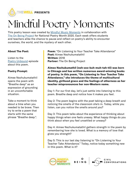

This poetry lesson was created by **[Mindful Music Moments](https://www.thewell.world/mindful-music/become-a-mindful-music-moments-school-partner)** in collaboration with [The On Being Project](https://onbeing.org) for National Poetry Month 2020. Each week offers students and teachers alike the chance to pause and reflect on poetry's ability to encounter ourselves, the world, and the mystery of each other.

#### **About The Poet:**

Listen to the [Poetry Unbound](https://onbeing.org/programs/a-poem-about-what-grounds-you/#transcript) episode about this poem.

#### **Poetry Prompt:**

Aimee Nezhukumatathil opens the poem with "Breathe deep" as an expression of grounding in an uncomfortable situation.

Take a moment to think about a time when you needed to be brave. Then try to write a poem that starts with the same phrase "Breathe deep.".

Poem: "On Listening to Your Teacher Take Attendance" **Poet:** Aimee Nezhukumatathil **Written:** 2018 **Partner:** The On Being Project

**Aimee Nezhukumathil (neh-zoo-kuh-muh-tah-til) was born in Chicago and has written numerous award-winning books of poetry. In this poem, "On Listening to Your Teacher Take Attendance," she introduces the theme of multicultural identity, girlhood grace and the feelings of otherness as her teacher mispronounces her non-Western name.**

Day 1: For our first day, let's just settle into listening to this poem. Breathe deep and notice how it makes you feel.

Day 2: The poem begins with the poet taking a deep breath and noticing the smells of the classroom she's in. Today, while you listen, can you notice the smells around you?

Day 3: This poem talks about the experience of thinking about happy things when one feels uneasy. What happy things do you think about when you feel unsettled or uneasy?

Day 4: Aimee Nezhukumatathil gathers strength in the poem by remembering how she is loved. What is a memory of love that gives you strength?

Day 5: This is our last day listening to "On Listening to Your Teacher Take Attendance." Today, notice today something new in this poem. What is it?



BEING

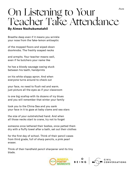### **On Listening to Your** Teacher Take Attendance

#### **By Aimee Nezhukumatahil**

Breathe deep even if it means you wrinkle your nose from the fake-lemon antiseptic

of the mopped floors and wiped-down doorknobs. The freshly soaped necks

and armpits. Your teacher means well, even if he butchers your name like

he has a bloody sausage casing stuck between his teeth, handprints

on his white sloppy apron. And when everyone turns around to check out

your face, no need to flush red and warm. just picture all the eyes as if your classroom

is one big scallop with its dozens of icy blues and you will remember that winter your family

took you to the China Sea and you sank your face in it to gaze at baby clams and sea stars

the size of your outstretched hand. And when all those necks start to crane, try not to forget

someone once lathered their bodies, once patted them dry with a fluffy towel after a bath, set out their clothes

for the first day of school. Think of their pencil cases from third grade, full of sharp pencils, a pink pearl eraser.

Think of their handheld pencil sharpener and its tiny blade.



O<br>BEING

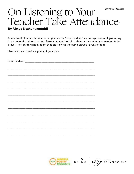### On Listening to Your<br>Teacher Take Attendance Response / Practice

#### **By Aimee Nezhukumatahil**

Aimee Nezhukumatathil opens the poem with "Breathe deep" as an expression of grounding in an uncomfortable situation. Take a moment to think about a time when you needed to be brave. Then try to write a poem that starts with the same phrase "Breathe deep."

Use this idea to write a poem of your own.

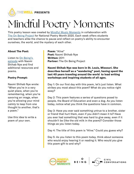

This poetry lesson was created by **[Mindful Music Moments](https://www.thewell.world/mindful-music/become-a-mindful-music-moments-school-partner)** in collaboration with [The On Being Project](https://onbeing.org) for National Poetry Month 2020. Each week offers students and teachers alike the chance to pause and reflect on poetry's ability to encounter ourselves, the world, and the mystery of each other.

#### **About The Poet:**

Listen to [On Being's](https://onbeing.org/programs/naomi-shihab-nye-your-life-is-a-poem-mar2018/)  [episode](https://onbeing.org/programs/naomi-shihab-nye-your-life-is-a-poem-mar2018/) with Naomi Shihab Nye and find additional resources and poems.

#### **Poetry Prompt:**

Naomi Shihab Nye wrote: "When you're in a very quiet place, when you're remembering, when you're savoring an image, when you're allowing your mind calmly to leap from one thought to another, that's a poem."

Use this idea to write a poem of your own.

**Poem:** "Alive" **Poet:** Naomi Shihab Nye **Written:** 2011 **Partner:** The On Being Project

**Naomi Shihab Nye was born in St. Louis, Missouri. She describes herself as a "wandering" poet, having spent the last 40 years traveling around the world to lead writing workshops and inspiring students of all ages.** 

Day 1: On our first day with this poem, let's just listen. What strikes you most about this poem? What do you notice right away?

Day 2: This poem features a series of questions posed to people, the Board of Education and even a dog. As you listen today, notice what you think the questions have in common.

Day 3: Have you ever said something untrue to a brother, sister or friend that hurt them, even if you didn't mean it to? Have you ever had something that was hard to give away, even if it shouldn't be (like the old milk in the poem)? Consider those things as you listen today.

Day 4: The title of this poem is "Alive." Could you guess why?

Day 5: As you listen to this poem today, think about someone who would enjoy hearing it or reading it. Who would you give this poem-gift to and why?



O<br>BEING

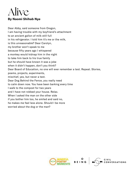

Dear Abby, said someone from Oregon, I am having trouble with my boyfriend's attachment to an ancient gallon of milk still full in his refrigerator. I told him it's me or the milk, is this unreasonable? Dear Carolyn, my brother won't speak to me because fifty years ago I whispered a monkey would kidnap him in the night to take him back to his true family but he should have known it was a joke when it didn't happen, don't you think? Dear Board of Education, no one will ever remember a test. Repeat. Stories, poems, projects, experiments, mischief, yes, but never a test. Dear Dog Behind the Fence, you really need to calm down now. You have been barking every time I walk to the compost for two years and I have not robbed your house. Relax. When I asked the man on the other side if you bother him too, he smiled and said no, he makes me feel less alone. Should I be more worried about the dog or the man?





CONVERSATIONS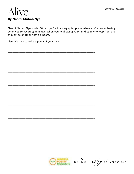CIVIL<br>CONVERSATIONS



Naomi Shihab Nye wrote: "When you're in a very quiet place, when you're remembering, when you're savoring an image, when you're allowing your mind calmly to leap from one thought to another, that's a poem."

Use this idea to write a poem of your own.

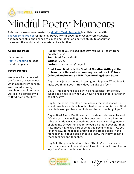

This poetry lesson was created by **[Mindful Music Moments](https://www.thewell.world/mindful-music/become-a-mindful-music-moments-school-partner)** in collaboration with [The On Being Project](https://onbeing.org) for National Poetry Month 2020. Each week offers students and teachers alike the chance to pause and reflect on poetry's ability to encounter ourselves, the world, and the mystery of each other.

#### **About The Poet:**

Listen to the [Poetry Unbound](https://onbeing.org/programs/a-poem-for-what-you-learn-alone/) episode about this poem.

#### **Poetry Prompt:**

We have all experienced the feeling of missing out when absent from school. We created a poetry template to explore these worries in a similar style to Brad Aaron Modlin's.

**Poem:** "What You Missed That Day You Were Absent from Fourth Grade" **Poet:** Brad Aaron Modlin **Written:** 2016 **Partner:** The On Being Project

#### **Brad Aaron Modlin is the Chair of Creative Writing at the University of Nebraska at Kearney. He holds a PhD from Ohio University and an MFA from Bowling Green State.**

Day 1: Let's just settle into listening to this poem. What does it make you think about? How does it make you feel?

Day 2: This poem has to do with being absent from school. What does it feel like when you have to miss school or another social event?

Day 3: The poem reflects on life lessons the poet wishes he would have learned in school but had to learn on his own. What is a life lesson you have had to learn that no one taught you?

Day 4: Brad Aaron Modlin wrote to us about this poem, he said "Maybe you have feelings and big questions that are hard to talk about. Maybe you sometimes stay awake worrying instead of sleeping. Or you think your life could be more peaceful than it is. Those nights are part of what this poem is about." As you listen today, perhaps look around at the other people in the room or think about people that you know, that they too have these feelings and thoughts.

Day 5: In the poem, Modlin writes, "The English lesson was that I am is a complete sentence." How does it make you feel to say "I am" as a complete sentence.



CONVERSATIONS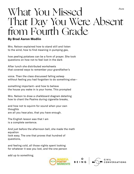### What You Missed That Day You Were Absent from Fourth Grade *Poem*

#### **By Brad Aaron Modlin**

Mrs. Nelson explained how to stand still and listen to the wind, how to find meaning in pumping gas,

how peeling potatoes can be a form of prayer. She took questions on how not to feel lost in the dark

After lunch she distributed worksheets that covered ways to remember your grandfather's

voice. Then the class discussed falling asleep without feeling you had forgotten to do something else—

something important—and how to believe the house you wake in is your home. This prompted

Mrs. Nelson to draw a chalkboard diagram detailing how to chant the Psalms during cigarette breaks,

and how not to squirm for sound when your own thoughts are all you hear;also, that you have enough.

The English lesson was that I am is a complete sentence.

And just before the afternoon bell, she made the math equation look easy. The one that proves that hundred of questions,

and feeling cold, all those nights spent looking for whatever it was you lost, and the one person

add up to something.



O<br>BEING



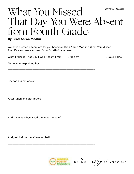### What You Missed Response / Practice That Day You Were Absent from Fourth Grade

#### **By Brad Aaron Modlin**

We have created a template for you based on Brad Aaron Modlin's What You Missed That Day You Were Absent From Fourth Grade poem.

| What I Missed That Day I Was Absent From ____ Grade by ___________________. (Your name) |                   |                                      |
|-----------------------------------------------------------------------------------------|-------------------|--------------------------------------|
| My teacher explained how                                                                |                   |                                      |
| She took questions on                                                                   |                   |                                      |
| After lunch she distributed                                                             |                   |                                      |
| And the class discussed the importance of                                               |                   |                                      |
| And just before the afternoon bell                                                      |                   |                                      |
|                                                                                         | O<br><b>BEING</b> | <b>CIVIL</b><br><b>CONVERSATIONS</b> |